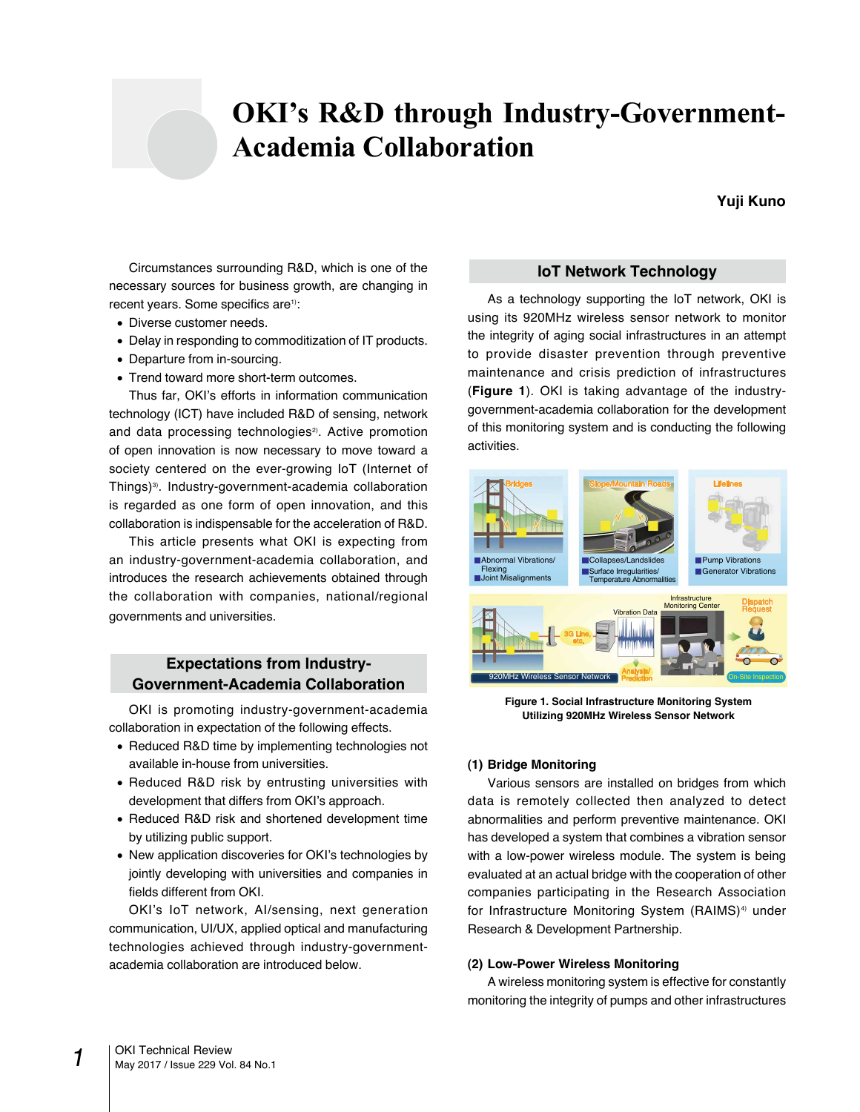# **OKI's R&D through Industry-Government-Academia Collaboration**

# **Yuji Kuno**

Circumstances surrounding R&D, which is one of the necessary sources for business growth, are changing in recent years. Some specifics are<sup>1)</sup>:

- Diverse customer needs.
- Delay in responding to commoditization of IT products.
- Departure from in-sourcing.
- Trend toward more short-term outcomes.

Thus far, OKI's efforts in information communication technology (ICT) have included R&D of sensing, network and data processing technologies<sup>2)</sup>. Active promotion of open innovation is now necessary to move toward a society centered on the ever-growing IoT (Internet of Things)3). Industry-government-academia collaboration is regarded as one form of open innovation, and this collaboration is indispensable for the acceleration of R&D.

This article presents what OKI is expecting from an industry-government-academia collaboration, and introduces the research achievements obtained through the collaboration with companies, national/regional governments and universities.

# **Expectations from Industry-Government-Academia Collaboration**

OKI is promoting industry-government-academia collaboration in expectation of the following effects.

- Reduced R&D time by implementing technologies not available in-house from universities.
- Reduced R&D risk by entrusting universities with development that differs from OKI's approach.
- Reduced R&D risk and shortened development time by utilizing public support.
- New application discoveries for OKI's technologies by jointly developing with universities and companies in fields different from OKI.

OKI's IoT network, AI/sensing, next generation communication, UI/UX, applied optical and manufacturing technologies achieved through industry-governmentacademia collaboration are introduced below.

# **IoT Network Technology**

As a technology supporting the IoT network, OKI is using its 920MHz wireless sensor network to monitor the integrity of aging social infrastructures in an attempt to provide disaster prevention through preventive maintenance and crisis prediction of infrastructures (**Figure 1**). OKI is taking advantage of the industrygovernment-academia collaboration for the development of this monitoring system and is conducting the following activities.



**Figure 1. Social Infrastructure Monitoring System Utilizing 920MHz Wireless Sensor Network**

# **(1) Bridge Monitoring**

Various sensors are installed on bridges from which data is remotely collected then analyzed to detect abnormalities and perform preventive maintenance. OKI has developed a system that combines a vibration sensor with a low-power wireless module. The system is being evaluated at an actual bridge with the cooperation of other companies participating in the Research Association for Infrastructure Monitoring System (RAIMS)<sup>4)</sup> under Research & Development Partnership.

## **(2) Low-Power Wireless Monitoring**

A wireless monitoring system is effective for constantly monitoring the integrity of pumps and other infrastructures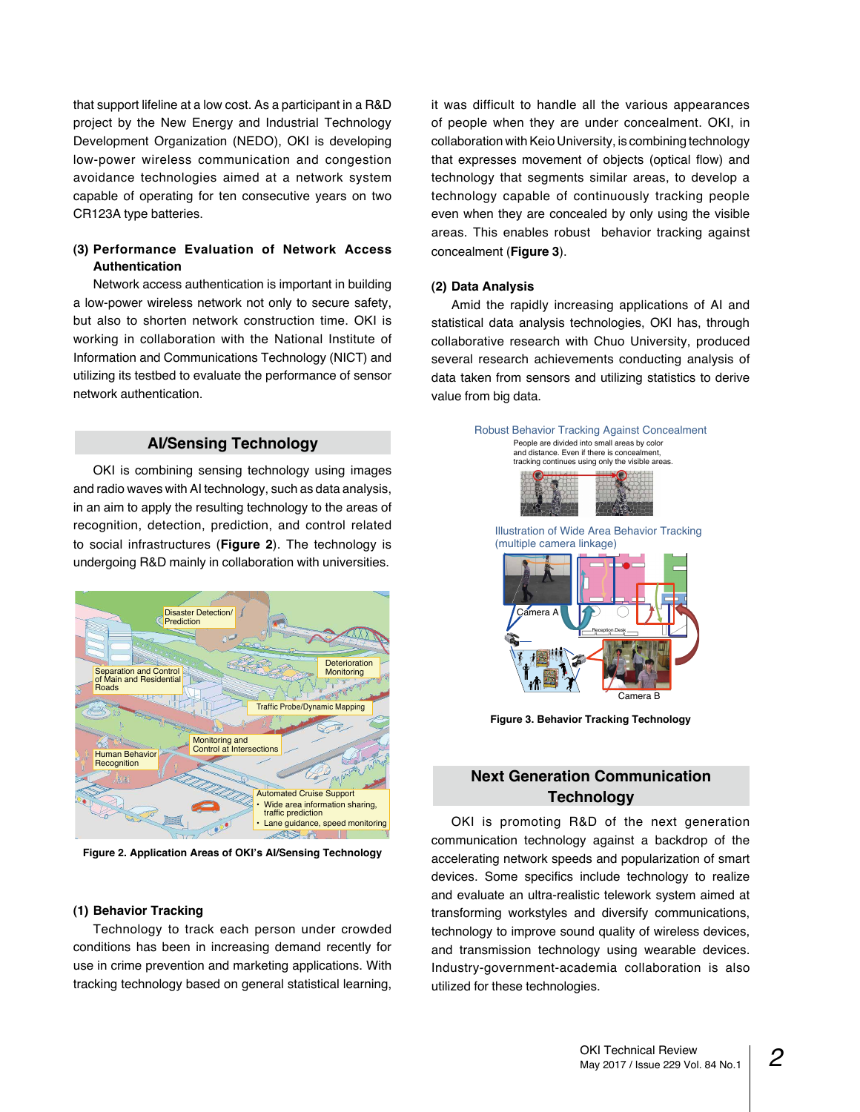that support lifeline at a low cost. As a participant in a R&D project by the New Energy and Industrial Technology Development Organization (NEDO), OKI is developing low-power wireless communication and congestion avoidance technologies aimed at a network system capable of operating for ten consecutive years on two CR123A type batteries.

# **(3) Performance Evaluation of Network Access Authentication**

Network access authentication is important in building a low-power wireless network not only to secure safety, but also to shorten network construction time. OKI is working in collaboration with the National Institute of Information and Communications Technology (NICT) and utilizing its testbed to evaluate the performance of sensor network authentication.

# **AI/Sensing Technology**

OKI is combining sensing technology using images and radio waves with AI technology, such as data analysis, in an aim to apply the resulting technology to the areas of recognition, detection, prediction, and control related to social infrastructures (**Figure 2**). The technology is undergoing R&D mainly in collaboration with universities.



**Figure 2. Application Areas of OKI's AI/Sensing Technology**

### **(1) Behavior Tracking**

Technology to track each person under crowded conditions has been in increasing demand recently for use in crime prevention and marketing applications. With tracking technology based on general statistical learning, it was difficult to handle all the various appearances of people when they are under concealment. OKI, in collaboration with Keio University, is combining technology that expresses movement of objects (optical flow) and technology that segments similar areas, to develop a technology capable of continuously tracking people even when they are concealed by only using the visible areas. This enables robust behavior tracking against concealment (**Figure 3**).

#### **(2) Data Analysis**

Amid the rapidly increasing applications of AI and statistical data analysis technologies, OKI has, through collaborative research with Chuo University, produced several research achievements conducting analysis of data taken from sensors and utilizing statistics to derive value from big data.



**Figure 3. Behavior Tracking Technology**

# **Next Generation Communication Technology**

OKI is promoting R&D of the next generation communication technology against a backdrop of the accelerating network speeds and popularization of smart devices. Some specifics include technology to realize and evaluate an ultra-realistic telework system aimed at transforming workstyles and diversify communications, technology to improve sound quality of wireless devices, and transmission technology using wearable devices. Industry-government-academia collaboration is also utilized for these technologies.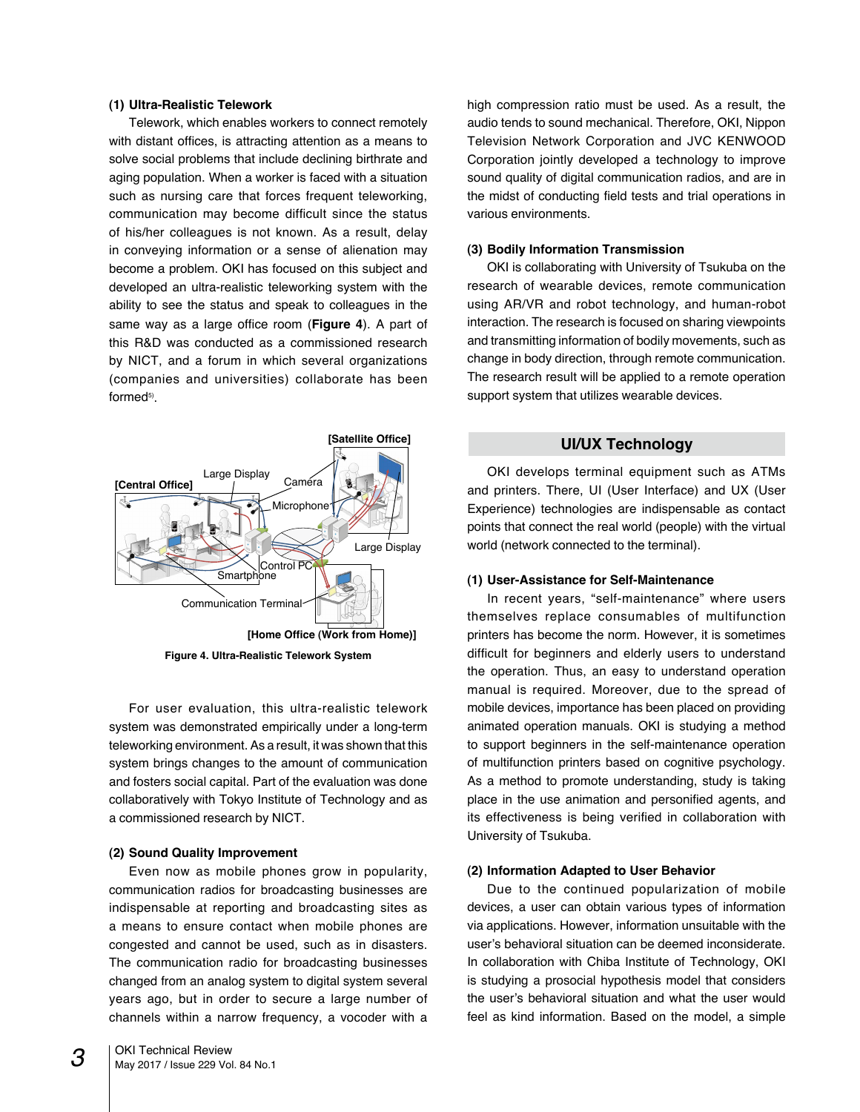## **(1) Ultra-Realistic Telework**

Telework, which enables workers to connect remotely with distant offices, is attracting attention as a means to solve social problems that include declining birthrate and aging population. When a worker is faced with a situation such as nursing care that forces frequent teleworking, communication may become difficult since the status of his/her colleagues is not known. As a result, delay in conveying information or a sense of alienation may become a problem. OKI has focused on this subject and developed an ultra-realistic teleworking system with the ability to see the status and speak to colleagues in the same way as a large office room (**Figure 4**). A part of this R&D was conducted as a commissioned research by NICT, and a forum in which several organizations (companies and universities) collaborate has been formed<sup>5)</sup>.



**Figure 4. Ultra-Realistic Telework System**

For user evaluation, this ultra-realistic telework system was demonstrated empirically under a long-term teleworking environment. As a result, it was shown that this system brings changes to the amount of communication and fosters social capital. Part of the evaluation was done collaboratively with Tokyo Institute of Technology and as a commissioned research by NICT.

#### **(2) Sound Quality Improvement**

Even now as mobile phones grow in popularity, communication radios for broadcasting businesses are indispensable at reporting and broadcasting sites as a means to ensure contact when mobile phones are congested and cannot be used, such as in disasters. The communication radio for broadcasting businesses changed from an analog system to digital system several years ago, but in order to secure a large number of channels within a narrow frequency, a vocoder with a high compression ratio must be used. As a result, the audio tends to sound mechanical. Therefore, OKI, Nippon Television Network Corporation and JVC KENWOOD Corporation jointly developed a technology to improve sound quality of digital communication radios, and are in the midst of conducting field tests and trial operations in various environments.

## **(3) Bodily Information Transmission**

OKI is collaborating with University of Tsukuba on the research of wearable devices, remote communication using AR/VR and robot technology, and human-robot interaction. The research is focused on sharing viewpoints and transmitting information of bodily movements, such as change in body direction, through remote communication. The research result will be applied to a remote operation support system that utilizes wearable devices.

## **UI/UX Technology**

OKI develops terminal equipment such as ATMs and printers. There, UI (User Interface) and UX (User Experience) technologies are indispensable as contact points that connect the real world (people) with the virtual world (network connected to the terminal).

#### **(1) User-Assistance for Self-Maintenance**

In recent years, "self-maintenance" where users themselves replace consumables of multifunction printers has become the norm. However, it is sometimes difficult for beginners and elderly users to understand the operation. Thus, an easy to understand operation manual is required. Moreover, due to the spread of mobile devices, importance has been placed on providing animated operation manuals. OKI is studying a method to support beginners in the self-maintenance operation of multifunction printers based on cognitive psychology. As a method to promote understanding, study is taking place in the use animation and personified agents, and its effectiveness is being verified in collaboration with University of Tsukuba.

#### **(2) Information Adapted to User Behavior**

Due to the continued popularization of mobile devices, a user can obtain various types of information via applications. However, information unsuitable with the user's behavioral situation can be deemed inconsiderate. In collaboration with Chiba Institute of Technology, OKI is studying a prosocial hypothesis model that considers the user's behavioral situation and what the user would feel as kind information. Based on the model, a simple